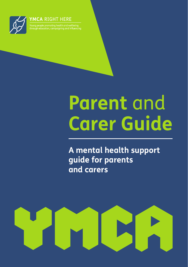

#### **YMCA RIGHT HERE**

g people promoting health and wellbeing<br>Igh education, campaigning and influencing

# **Parent** and **Carer Guide**

**A mental health support guide for parents and carers**

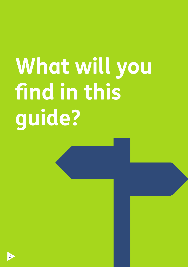# **What will you find in this guide?**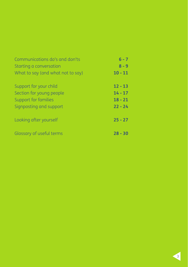#### Communications do's and don'ts Starting a conversation What to say (and what not to say) Support for your child Section for young people Support for families Signposting and support Looking after yourself Glossary of useful terms **6 - 7 8 - 9 10 - 11 12 - 13 14 - 17 18 - 21 22 - 24 25 - 27 28 - 30**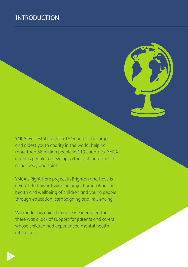# INTRODUCTION



YMCA was established in 1844 and is the largest and oldest youth charity in the world, helping more than 58 million people in 119 countries. YMCA enables people to develop to their full potential in mind, body and spirit.

YMCA's Right Here project in Brighton and Hove is a youth-led award-winning project promoting the health and wellbeing of children and young people through education, campaigning and influencing.

We made this guide because we identified that there was a lack of support for parents and carers whose children had experienced mental health difficulties.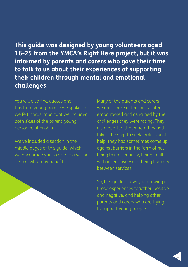**This guide was designed by young volunteers aged 16-25 from the YMCA's Right Here project, but it was informed by parents and carers who gave their time to talk to us about their experiences of supporting their children through mental and emotional challenges.**

You will also find quotes and tips from young people we spoke to we felt it was important we included both sides of the parent-young person relationship.

We've included a section in the middle pages of this guide, which we encourage you to give to a young person who may benefit.

Many of the parents and carers we met spoke of feeling isolated, embarrassed and ashamed by the challenges they were facing. They also reported that when they had taken the step to seek professional help, they had sometimes come up against barriers in the form of not being taken seriously, being dealt with insensitively and being bounced between services.

So, this guide is a way of drawing all those experiences together, positive and negative, and helping other parents and carers who are trying to support young people.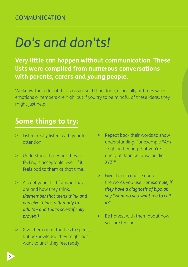# *Do's and don'ts!*

**Very little can happen without communication. These lists were compiled from numerous conversations with parents, carers and young people.**

We know that a lot of this is easier said than done, especially at times when emotions or tempers are high, but if you try to be mindful of these ideas, they might just help.

# **Some things to try:**

- **>** Listen, really listen, with your full attention.
- **>** Understand that what they're feeling is acceptable, even if it feels bad to them at that time.
- **>** Accept your child for who they are and how they think. *(Remember that teens think and perceive things differently to adults - and that's scientifically proven!)*
- **>** Give them opportunities to speak, but acknowledge they might not want to until they feel ready.
- **>** Repeat back their words to show understanding. For example "Am I right in hearing that you're angry at John because he did XYZ?"
- **>** Give them a choice about the words you use. *For example, if they have a diagnosis of bipolar, say "what do you want me to call it?"*
- **>** Be honest with them about how you are feeling.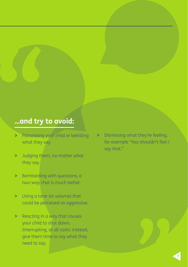# **…and try to avoid:**

- and try **"**<br> **"**<br>
Patronising what they s **>** Patronising your child or belittling what they say.
	- **>** Judging them, no matter what they say.
	- **>** Bombarding with questions, a two-way chat is much better.
	- **>** Using a tone (or volume) that could be perceived as aggressive.
	- **>** Reacting in a way that causes your child to shut down. Interrupting, at all costs: instead, give them time to say what they need to say.

**>** Dismissing what they're feeling, for example "You shouldn't feel / say that."



**"**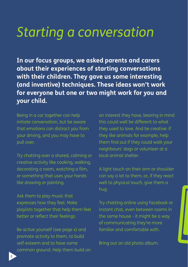# *Starting a conversation*

**In our focus groups, we asked parents and carers about their experiences of starting conversations with their children. They gave us some interesting (and inventive) techniques. These ideas won't work for everyone but one or two might work for you and your child.**

Being in a car together can help initiate conversation, but be aware that emotions can distract you from your driving, and you may have to pull over.

Try chatting over a shared, calming or creative activity like cooking, walking, decorating a room, watching a film, or something that uses your hands like drawing or painting.

Ask them to play music that expresses how they feel. Make playlists together that help them feel better or reflect their feelings.

Be active yourself (see page x) and promote activity to them, to build self-esteem and to have some common ground. Help them build on

an interest they have, bearing in mind this could well be different to what they used to love. And be creative: if they like animals for example, help them find out if they could walk your neighbours' dogs or volunteer at a local animal shelter.

A light touch on their arm or shoulder can say a lot to them, or, if they react well to physical touch, give them a hug.

Try chatting online using Facebook or instant chat, even between rooms in the same house - it might be a way of communicating they're more familiar and comfortable with.

Bring out an old photo album.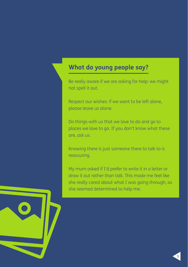# **What do young people say?**

Be really aware if we are asking for help: we might not spell it out.

Respect our wishes: if we want to be left alone, please leave us alone.

Do things with us that we love to do and go to places we love to go. If you don't know what these are, ask us.

Knowing there is just someone there to talk to is reassuring.

My mum asked if I'd prefer to write it in a letter or draw it out rather than talk. This made me feel like she really cared about what I was going through, as she seemed determined to help me.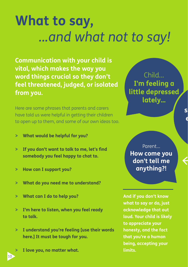# **What to say,** *...and what not to say!*

**Communication with your child is vital, which makes the way you word things crucial so they don't feel threatened, judged, or isolated from you.**

Here are some phrases that parents and carers have told us were helpful in getting their children to open up to them, and some of our own ideas too.

- **> What would be helpful for you?**
- **> If you don't want to talk to me, let's find somebody you feel happy to chat to.**
- **> How can I support you?**
- **> What do you need me to understand?**
- **> What can I do to help you?**
- **> I'm here to listen, when you feel ready to talk.**
- **> I understand you're feeling [use their words here.] It must be tough for you.**
	- **> I love you, no matter what.**

10

Child... **I'm feeling a little depressed lately...**

> **silly, you have everything in**

Parent... **How come you don't tell me anything?!**

**And if you don't know what to say or do, just acknowledge that out loud. Your child is likely to appreciate your honesty, and the fact that you're a human being, accepting your limits.**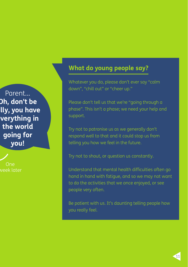Parent... **Oh, don't be silly, you have everything in the world going for you!**

One week later

# **What do young people say?**

Whatever you do, please don't ever say "calm down", "chill out" or "cheer up."

Please don't tell us that we're "going through a phase". This isn't a phase; we need your help and support.

Try not to patronise us as we generally don't respond well to that and it could stop us from telling you how we feel in the future.

Try not to shout, or question us constantly.

Understand that mental health difficulties often go hand in hand with fatigue, and so we may not want to do the activities that we once enjoyed, or see people very often.

Be patient with us. It's daunting telling people how you really feel.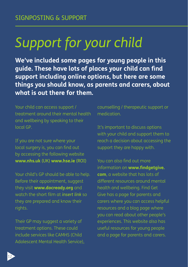# *Support for your child*

**We've included some pages for young people in this guide. These have lots of places your child can find support including online options, but here are some things you should know, as parents and carers, about what is out there for them.**

Your child can access support / treatment around their mental health and wellbeing by speaking to their local GP.

If you are not sure where your local surgery is, you can find out by accessing the following website **www.nhs.uk** (UK) **www.hse.ie** (ROI)

Your child's GP should be able to help. Before their appointment, suggest they visit **www.docready.org** and watch the short film at *insert link* so they are prepared and know their rights.

Their GP may suggest a variety of treatment options. These could include services like CAMHS (Child Adolescent Mental Health Service), counselling / therapeutic support or medication.

It's important to discuss options with your child and support them to reach a decision about accessing the support they are happy with.

You can also find out more information on **www.findgetgive. com**, a website that has lots of different resources around mental health and wellbeing. Find Get Give has a page for parents and carers where you can access helpful resources and a blog page where you can read about other people's experiences. This website also has useful resources for young people and a page for parents and carers.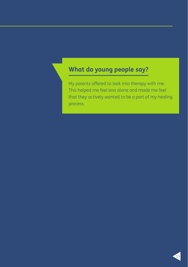# **What do young people say?**

My parents offered to look into therapy with me. This helped me feel less alone and made me feel that they actively wanted to be a part of my healing process.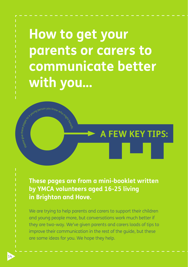**How to get your parents or carers to communicate better with you...**

**These pages are from a mini-booklet written by YMCA volunteers aged 16-25 living in Brighton and Hove.**

**A FEW KEY TIPS:**

We are trying to help parents and carers to support their children and young people more, but conversations work much better if they are two-way. We've given parents and carers loads of tips to improve their communication in the rest of the guide, but these are some ideas for you. We hope they help.

 $\frac{1}{2}$  else give these  $\rho_{\mathcal{B}}$  else  $\frac{1}{2}$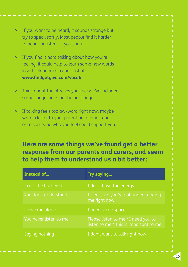- **>** If you want to be heard, it sounds strange but try to speak softly. Most people find it harder to hear - or listen - if you shout.
- **>** If you find it hard talking about how you're feeling, it could help to learn some new words insert link or build a checklist at **www.findgetgive.com/vocab**
- **>** Think about the phrases you use: we've included some suggestions on the next page.
- **>** If talking feels too awkward right now, maybe write a letter to your parent or carer instead, or to someone who you feel could support you.

# **Here are some things we've found get a better response from our parents and carers, and seem to help them to understand us a bit better:**

| Instead of             | Try saying                                                                    |
|------------------------|-------------------------------------------------------------------------------|
| I can't be bothered    | I don't have the energy                                                       |
| You don't understand   | It feels like you're not understanding<br>me right now                        |
| Leave me alone         | I need some space                                                             |
| You never listen to me | Please listen to me / I need you to<br>listen to me / This is important to me |
| Saying nothing         | I don't want to talk right now                                                |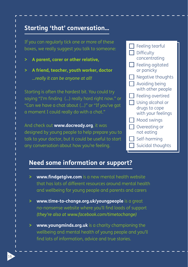# **Starting 'that' conversation...**

If you can regularly tick one or more of these boxes, we really suggest you talk to someone:

- **> A parent, carer or other relative,**
- **> A friend, teacher, youth worker, doctor** *...really it can be anyone at all!*

Starting is often the hardest bit. You could try saying "I'm finding (…) really hard right now." or "Can we have a chat about (...)" or "If you've got a moment I could really do with a chat."

And check out **www.docready.org**, it was designed by young people to help prepare you to talk to your doctor, but it could be useful to start any conversation about how you're feeling.



### **Need some information or support?**

- **> www.findgetgive.com** is a new mental health website that has lots of different resources around mental health and wellbeing for young people and parents and carers
- **> www.time-to-change.org.uk/youngpeople** is a great no-nonsense website where you'll find loads of support *(they're also at www.facebook.com/timetochange)*
- **> www.youngminds.org.uk** is a charity championing the wellbeing and mental health of young people and you'll find lots of information, advice and true stories.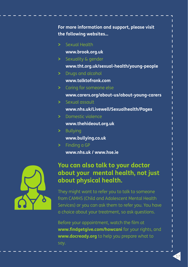| For more information and support, please visit<br>the following websites |                                            |
|--------------------------------------------------------------------------|--------------------------------------------|
| $\geq$                                                                   | Sexual Health                              |
|                                                                          | www.brook.org.uk                           |
| $\geq$                                                                   | Sexuality & gender                         |
|                                                                          | www.tht.org.uk/sexual-health/young-people  |
| ≻                                                                        | Drugs and alcohol                          |
|                                                                          | www.talktofrank.com                        |
| $\geq$                                                                   | Caring for someone else                    |
|                                                                          | www.carers.org/about-us/about-young-carers |
| $\geq$                                                                   | Sexual assault                             |
|                                                                          | www.nhs.uk/Livewell/Sexualhealth/Pages     |
| $\geq$                                                                   | Domestic violence                          |
|                                                                          | www.thehideout.org.uk                      |
| ⋗                                                                        | <b>Bullying</b>                            |
|                                                                          | www.bullying.co.uk                         |
| $\geq$                                                                   | Finding a GP                               |
|                                                                          | www.nhs.uk / www.hse.ie                    |



# **You can also talk to your doctor about your mental health, not just about physical health.**

They might want to refer you to talk to someone from CAMHS (Child and Adolescent Mental Health Services) or you can ask them to refer you. You have a choice about your treatment, so ask questions.

Before your appointment, watch the film at **www.findgetgive.com/howcani** for your rights, and **www.docready.org** to help you prepare what to say.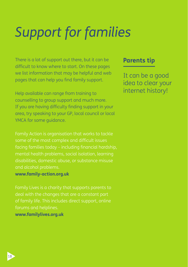# *Support for families*

There is a lot of support out there, but it can be difficult to know where to start. On these pages we list information that may be helpful and web pages that can help you find family support.

Help available can range from training to counselling to group support and much more. If you are having difficulty finding support in your area, try speaking to your GP, local council or local YMCA for some guidance.

some of the most complex and difficult issues facing families today – including financial hardship, mental health problems, social isolation, learning disabilities, domestic abuse, or substance misuse

#### **www.family-action.org.uk**

Family Lives is a charity that supports parents to of family life. This includes direct support, online forums and helplines. **www.familylives.org.uk**

### **Parents tip**

It can be a good idea to clear your internet history!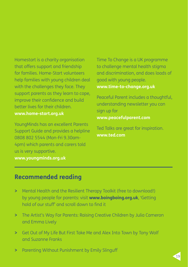Homestart is a charity organisation that offers support and friendship for families. Home-Start volunteers help families with young children deal with the challenges they face. They support parents as they learn to cope, improve their confidence and build better lives for their children. **www.home-start.org.uk**

YoungMinds has an excellent Parents Support Guide and provides a helpline 0808 802 5544 (Mon-Fri 9.30am-4pm) which parents and carers told us is very supportive. **www.youngminds.org.uk**

Time To Change is a UK programme to challenge mental health stigma and discrimination, and does loads of good with young people. **www.time-to-change.org.uk**

Peaceful Parent includes a thoughtful, understanding newsletter you can sign up for **www.peacefulparent.com**

Ted Talks are great for inspiration. **www.ted.com**

# **Recommended reading**

- **>** Mental Health and the Resilient Therapy Toolkit (free to download!) by young people for parents: visit **www.boingboing.org.uk**, 'Getting hold of our stuff' and scroll down to find it
- **>** The Artist's Way For Parents: Raising Creative Children by Julia Cameron and Emma Lively
- **>** Get Out of My Life But First Take Me and Alex Into Town by Tony Wolf and Suzanne Franks
- **>** Parenting Without Punishment by Emily Slinguff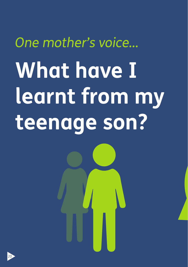# *One mother's voice...* **What have I learnt from my teenage son?**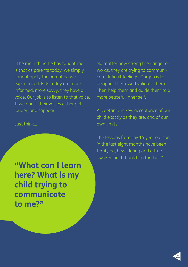"The main thing he has taught me is that as parents today, we simply cannot apply the parenting we experienced. Kids today are more informed, more savvy, they have a voice. Our job is to listen to that voice. If we don't, their voices either get louder, or disappear.

Just think...

**"What can I learn here? What is my child trying to communicate to me?"**

No matter how strong their anger or words, they are trying to communicate difficult feelings. Our job is to decipher them. And validate them. Then help them and guide them to a more peaceful inner self.

Acceptance is key: acceptance of our child exactly as they are, and of our own limits.

The lessons from my 15 year old son in the last eight months have been terrifying, bewildering and a true awakening. I thank him for that."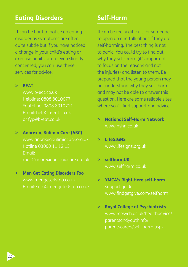# **Eating Disorders**

It can be hard to notice an eating disorder as symptoms are often quite subtle but if you have noticed a change in your child's eating or exercise habits or are even slightly concerned, you can use these services for advice:

#### **> BEAT**

www.b-eat.co.uk Helpline: 0808 8010677, Youthline: 0808 8010711 Email: help@b-eat.co.uk or fyp@b-eat.co.uk

### **> Anorexia, Bulimia Care (ABC)**

www.anorexiabulimiacare.org.uk Email:

### **> Men Get Eating Disorders Too** www.mengetedstoo.co.uk Email: sam@mengetedstoo.co.uk

## **Self-Harm**

It can be really difficult for someone to open up and talk about if they are self-harming. The best thing is not to panic. You could try to find out why they self-harm (it's important to focus on the reasons and not the injuries) and listen to them. Be prepared that the young person may not understand why they self-harm, and may not be able to answer this question. Here are some reliable sites where you'll find support and advice:

- **> National Self-Harm Network** www.nshn.co.uk
- **> LifeSIGNS** www.lifesigns.org.uk
- **> selfharmUK** www.selfharm.co.uk
- **> YMCA's Right Here self-harm** support guide www.findgetgive.com/selfharm
- **> Royal College of Psychiatrists** www.rcpsych.ac.uk/healthadvice/ parentsandyouthinfo/ parentscarers/self-harm.aspx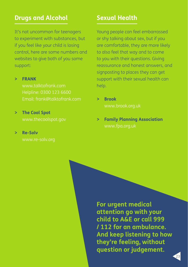### **Drugs and Alcohol**

It's not uncommon for teenagers to experiment with substances, but if you feel like your child is losing control, here are some numbers and websites to give both of you some support:

#### **> FRANK**

www.talktofrank.com Helpline: 0300 123 6600 Email: frank@talktofrank.com

#### **> The Cool Spot**

www.thecoolspot.gov

#### **> Re-Solv**

www.re-solv.org

# **Sexual Health**

Young people can feel embarrassed or shy talking about sex, but if you are comfortable, they are more likely to also feel that way and to come to you with their questions. Giving reassurance and honest answers, and signposting to places they can get support with their sexual health can help.

**> Brook** www.brook.org.uk

**> Family Planning Association** www.fpa.org.uk

**For urgent medical attention go with your child to A&E or call 999 / 112 for an ambulance. And keep listening to how they're feeling, without question or judgement.**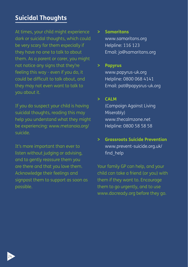# **Suicidal Thoughts**

At times, your child might experience dark or suicidal thoughts, which could be very scary for them especially if they have no one to talk to about them. As a parent or carer, you might not notice any signs that they're feeling this way - even if you do, it could be difficult to talk about, and they may not even want to talk to you about it.

If you do suspect your child is having suicidal thoughts, reading this may help you understand what they might be experiencing: www.metanoia.org/ suicide.

It's more important than ever to listen without judging or advising, and to gently reassure them you are there and that you love them. Acknowledge their feelings and signpost them to support as soon as possible.

#### **> Samaritans**

www.samaritans.org Helpline: 116 123 Email: jo@samaritans.org

#### **> Papyrus**

www.papyrus-uk.org Helpline: 0800 068 4141 Email: pat@papysrus-uk.org

#### **> CALM**

(Campaign Against Living Miserably) www.thecalmzone.net Helpline: 0800 58 58 58

### **> Grassroots Suicide Prevention** www.prevent-suicide.org.uk/ find help

Your family GP can help, and your child can take a friend (or you) with them if they want to. Encourage them to go urgently, and to use www.docready.org before they go.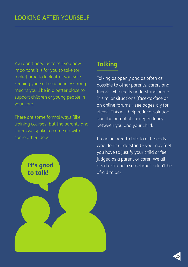You don't need us to tell you how important it is for you to take (or make) time to look after yourself: keeping yourself emotionally strong means you'll be in a better place to support children or young people in your care.

There are some formal ways (like training courses) but the parents and carers we spoke to came up with some other ideas:

> **It's good to talk!**

# **Talking**

Talking as openly and as often as possible to other parents, carers and friends who really understand or are in similar situations (face-to-face or on online forums - see pages x-y for ideas). This will help reduce isolation and the potential co-dependency between you and your child.

It can be hard to talk to old friends who don't understand - you may feel you have to justify your child or feel judged as a parent or carer. We all need extra help sometimes - don't be afraid to ask.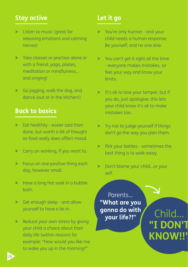# **Stay active**

- **>** Listen to music (great for releasing emotions and calming nerves)
- **>** Take classes or practice alone or with a friend: yoga, pilates, meditation or mindfulness... and singing!
- **>** Go jogging, walk the dog, and dance (out or in the kitchen!)

### **Back to basics**

- **>** Eat healthily easier said than done, but worth a bit of thought as food really does affect mood.
- **>** Carry on working, if you want to.
- **>** Focus on one positive thing each day, however small.
- **>** Have a long hot soak in a bubble bath.
- **>** Get enough sleep and allow yourself to have a lie-in.
- **>** Reduce your own stress by giving your child a choice about their daily life (within reason) for example: "How would you like me to wake you up in the morning?"

# **Let it go**

- **>** You're only human and your child needs a human response. Be yourself, and no one else.
- **>** You can't get it right all the time - everyone makes mistakes, so feel your way and know your limits.
- **>** It's ok to lose your temper, but if you do, just apologise: this lets your child know it's ok to make mistakes too.
- **>** Try not to judge yourself if things don't go the way you plan them.
- **>** Pick your battles sometimes the best thing is to walk away.
- **>** Don't blame your child…or your self.

Parents... **"What are you gonna do with your life?!"** Child...

**"I DON'T KNOW!!"**

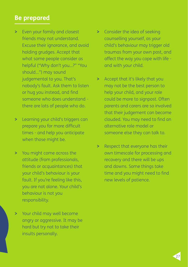### **Be prepared**

- **>** Even your family and closest friends may not understand. Excuse their ignorance, and avoid holding grudges. Accept that what some people consider as helpful ("Why don't you...?" "You should...") may sound judgemental to you. That's nobody's fault. Ask them to listen or hug you instead, and find someone who does understand there are lots of people who do.
- **>** Learning your child's triggers can prepare you for more difficult times - and help you anticipate when those might be.
- **>** You might come across the attitude (from professionals, friends or acquaintances) that your child's behaviour is your fault. If you're feeling like this, you are not alone. Your child's behaviour is not you responsibility.

**>** Your child may well become angry or aggressive. It may be hard but try not to take their insults personally.

- **>** Consider the idea of seeking counselling yourself, as your child's behaviour may trigger old traumas from your own past, and affect the way you cope with life and with your child.
- **>** Accept that it's likely that you may not be the best person to help your child, and your role could be more to signpost. Often parents and carers are so involved that their judgement can become clouded. You may need to find an alternative role model or someone else they can talk to.
- **>** Respect that everyone has their own timescale for processing and recovery and there will be ups and downs. Some things take time and you might need to find new levels of patience.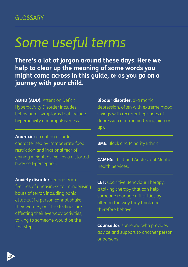# *Some useful terms*

**There's a lot of jargon around these days. Here we help to clear up the meaning of some words you might come across in this guide, or as you go on a journey with your child.**

**ADHD (ADD):** Attention Deficit Hyperactivity Disorder includes behavioural symptoms that include hyperactivity and impulsiveness.

**Anorexia:** an eating disorder characterised by immoderate food restriction and irrational fear of gaining weight, as well as a distorted body self-perception.

#### **Anxiety disorders:** range from

feelings of uneasiness to immobilising bouts of terror, including panic attacks. If a person cannot shake their worries, or if the feelings are affecting their everyday activities, talking to someone would be the first step.

**Bipolar disorder:** aka manic depression, often with extreme mood swings with recurrent episodes of depression and mania (being high or up).

**BME:** Black and Minority Ethnic.

**CAMHS:** Child and Adolescent Mental Health Services.

**CBT:** Cognitive Behaviour Therapy, a talking therapy that can help someone manage difficulties by altering the way they think and therefore behave.

**Counsellor:** someone who provides advice and support to another person or persons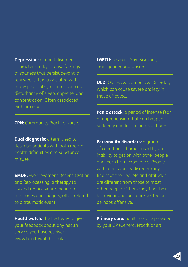**Depression:** a mood disorder characterised by intense feelings of sadness that persist beyond a few weeks. It is associated with many physical symptoms such as disturbance of sleep, appetite, and concentration. Often associated with anxiety.

**CPN:** Community Practice Nurse.

**Dual diagnosis:** a term used to describe patients with both mental health difficulties and substance misuse.

**EMDR:** Eye Movement Desensitization and Reprocessing, a therapy to try and reduce your reaction to memories and triggers, often related to a traumatic event.

**Healthwatch:** the best way to give your feedback about any health service you have received: www.healthwatch.co.uk

**LGBTU:** Lesbian, Gay, Bisexual, Transgender and Unsure.

**OCD:** Obsessive Compulsive Disorder, which can cause severe anxiety in those affected.

**Panic attack:** a period of intense fear or apprehension that can happen suddenly and last minutes or hours.

**Personality disorders:** a group of conditions characterised by an inability to get on with other people and learn from experience. People with a personality disorder may find that their beliefs and attitudes are different from those of most other people. Others may find their behaviour unusual, unexpected or perhaps offensive.

**Primary care:** health service provided by your GP (General Practitioner).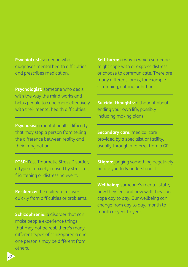**Psychiatrist:** someone who diagnoses mental health difficulties and prescribes medication.

**Psychologist:** someone who deals with the way the mind works and helps people to cope more effectively with their mental health difficulties.

**Psychosis:** a mental health difficulty that may stop a person from telling the difference between reality and their imagination.

**PTSD:** Post Traumatic Stress Disorder, a type of anxiety caused by stressful, frightening or distressing event.

**Resilience:** the ability to recover quickly from difficulties or problems.

**Schizophrenia:** a disorder that can make people experience things that may not be real, there's many different types of schizophrenia and one person's may be different from others.

**Self-harm:** a way in which someone might cope with or express distress or choose to communicate. There are many different forms, for example scratching, cutting or hitting.

**Suicidal thoughts:** a thought about ending your own life, possibly including making plans.

**Secondary care:** medical care provided by a specialist or facility, usually through a referral from a GP.

**Stigma:** judging something negatively before you fully understand it.

**Wellbeing:** someone's mental state, how they feel and how well they can cope day to day. Our wellbeing can change from day to day, month to month or year to year.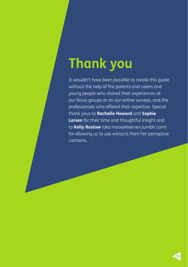# **Thank you**

It wouldn't have been possible to create this guide without the help of the parents and carers and young people who shared their experiences at our focus groups or on our online surveys, and the professionals who offered their expertise. Special thank yous to **Rachelle Howard** and **Sophie Larsen** for their time and thoughtful insight and to **Kelly Bastow** (aka moosekleenex.tumblr.com) for allowing us to use extracts from her perceptive cartoons.